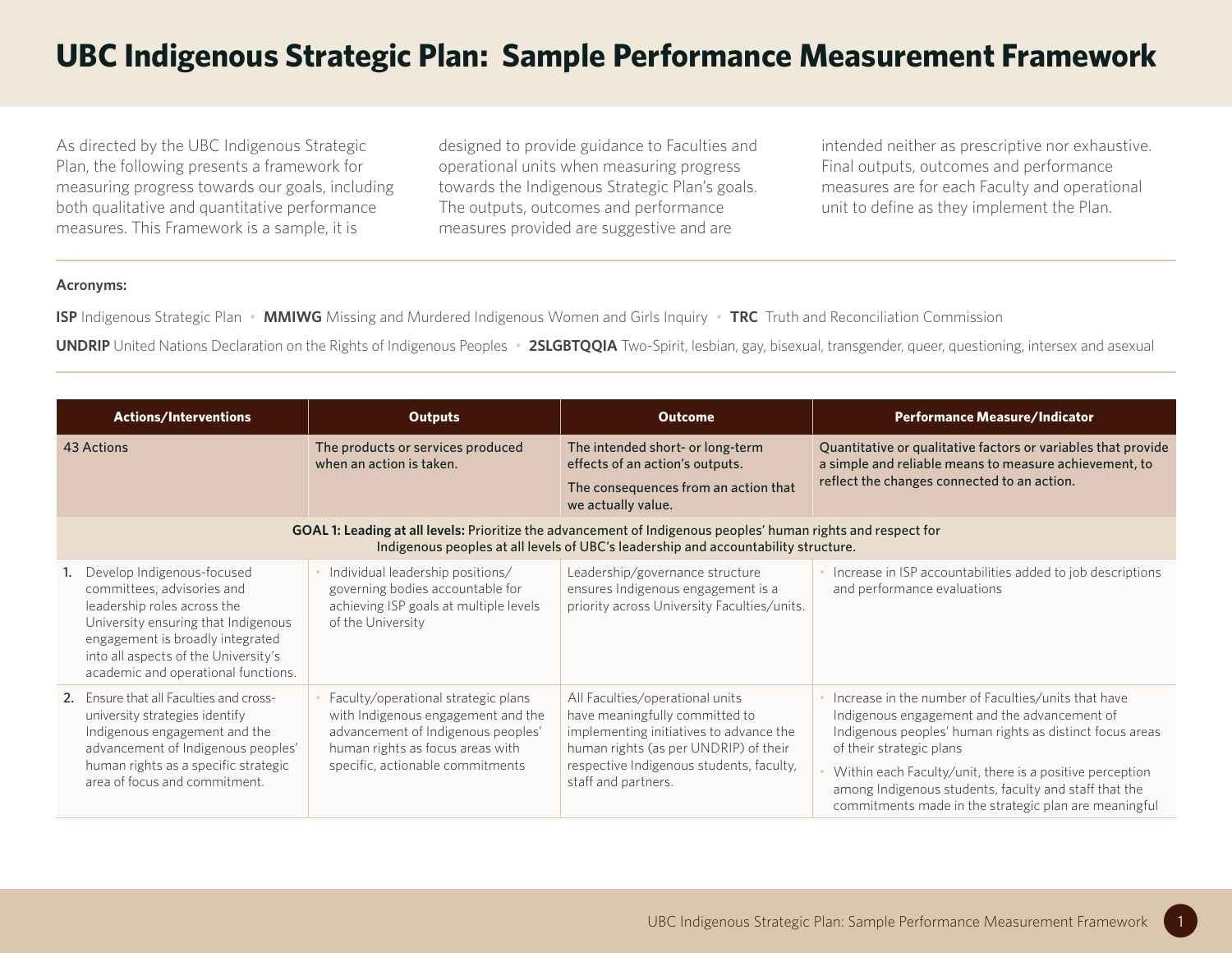## **UBC Indigenous Strategic Plan: Sample Performance Measurement Framework**

As directed by the UBC Indigenous Strategic Plan, the following presents a framework for measuring progress towards our goals, including both qualitative and quantitative performance measures. This Framework is a sample, it is

designed to provide guidance to Faculties and operational units when measuring progress towards the Indigenous Strategic Plan's goals. The outputs, outcomes and performance measures provided are suggestive and are

intended neither as prescriptive nor exhaustive. Final outputs, outcomes and performance measures are for each Faculty and operational unit to define as they implement the Plan.

## **Acronyms:**

**ISP** Indigenous Strategic Plan • **MMIWG** Missing and Murdered Indigenous Women and Girls Inquiry • **TRC** Truth and Reconciliation Commission

**UNDRIP** United Nations Declaration on the Rights of Indigenous Peoples • 2SLGBTQQIA Two-Spirit, lesbian, gay, bisexual, transgender, queer, questioning, intersex and asexual

| <b>Actions/Interventions</b>                                                                                                                                                                                                                      | <b>Outputs</b>                                                                                                                                                                          | <b>Outcome</b>                                                                                                                                                                                                           | <b>Performance Measure/Indicator</b>                                                                                                                                                                                                                                                                                                                                      |  |
|---------------------------------------------------------------------------------------------------------------------------------------------------------------------------------------------------------------------------------------------------|-----------------------------------------------------------------------------------------------------------------------------------------------------------------------------------------|--------------------------------------------------------------------------------------------------------------------------------------------------------------------------------------------------------------------------|---------------------------------------------------------------------------------------------------------------------------------------------------------------------------------------------------------------------------------------------------------------------------------------------------------------------------------------------------------------------------|--|
| 43 Actions                                                                                                                                                                                                                                        | The products or services produced<br>when an action is taken.                                                                                                                           | The intended short- or long-term<br>effects of an action's outputs.<br>The consequences from an action that<br>we actually value.                                                                                        | Quantitative or qualitative factors or variables that provide<br>a simple and reliable means to measure achievement, to<br>reflect the changes connected to an action.                                                                                                                                                                                                    |  |
| GOAL 1: Leading at all levels: Prioritize the advancement of Indigenous peoples' human rights and respect for<br>Indigenous peoples at all levels of UBC's leadership and accountability structure.                                               |                                                                                                                                                                                         |                                                                                                                                                                                                                          |                                                                                                                                                                                                                                                                                                                                                                           |  |
| Develop Indigenous-focused<br>committees, advisories and<br>leadership roles across the<br>University ensuring that Indigenous<br>engagement is broadly integrated<br>into all aspects of the University's<br>academic and operational functions. | Individual leadership positions/<br>governing bodies accountable for<br>achieving ISP goals at multiple levels<br>of the University                                                     | Leadership/governance structure<br>ensures Indigenous engagement is a<br>priority across University Faculties/units.                                                                                                     | Increase in ISP accountabilities added to job descriptions<br>and performance evaluations                                                                                                                                                                                                                                                                                 |  |
| 2. Ensure that all Faculties and cross-<br>university strategies identify<br>Indigenous engagement and the<br>advancement of Indigenous peoples'<br>human rights as a specific strategic<br>area of focus and commitment.                         | Faculty/operational strategic plans<br>with Indigenous engagement and the<br>advancement of Indigenous peoples'<br>human rights as focus areas with<br>specific, actionable commitments | All Faculties/operational units<br>have meaningfully committed to<br>implementing initiatives to advance the<br>human rights (as per UNDRIP) of their<br>respective Indigenous students, faculty,<br>staff and partners. | Increase in the number of Faculties/units that have<br>Indigenous engagement and the advancement of<br>Indigenous peoples' human rights as distinct focus areas<br>of their strategic plans<br>Within each Faculty/unit, there is a positive perception<br>among Indigenous students, faculty and staff that the<br>commitments made in the strategic plan are meaningful |  |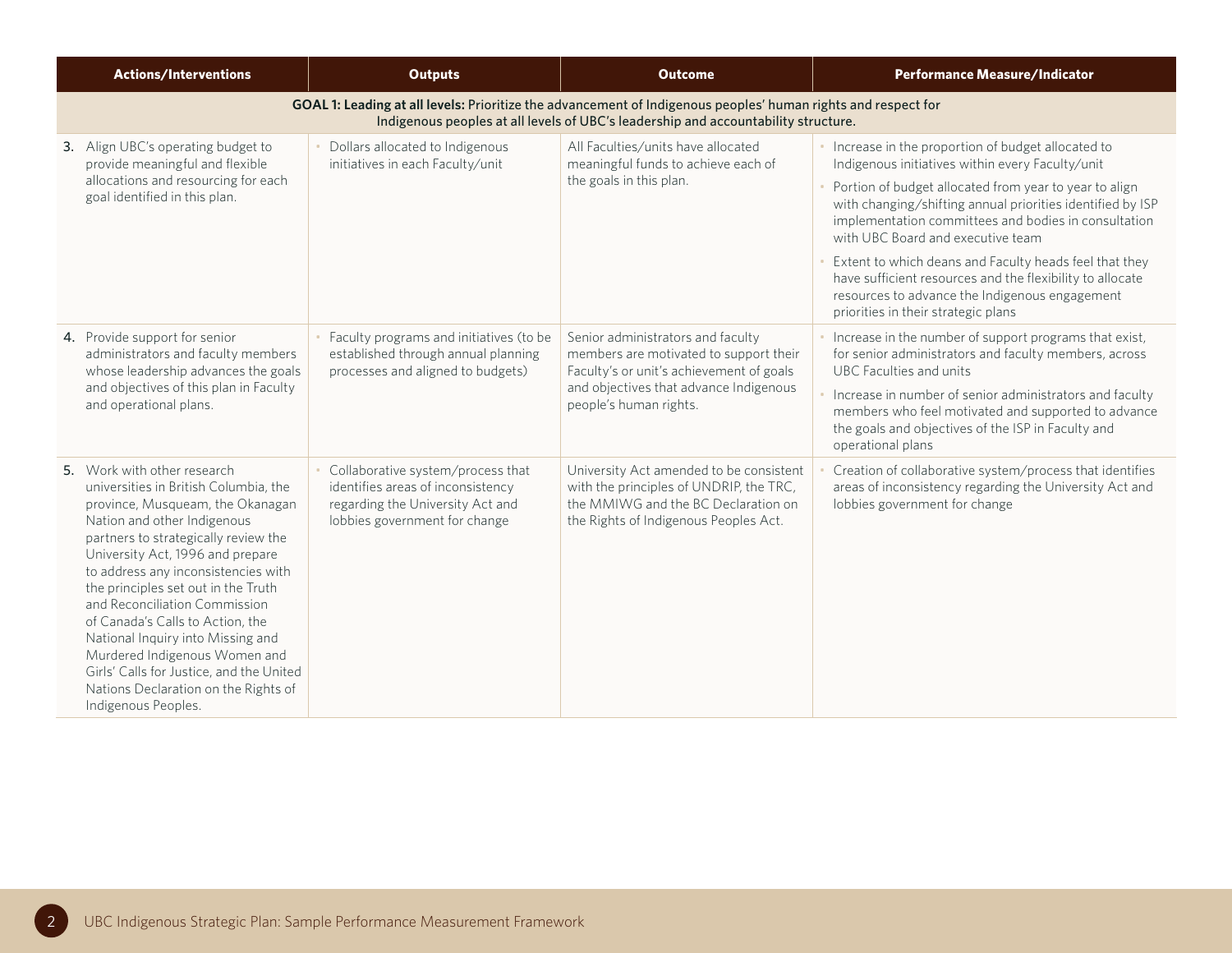| <b>Actions/Interventions</b>                                                                                                                                                                                                                                                                                                                                                                                                                                                                                                                            | <b>Outputs</b>                                                                                                                              | <b>Outcome</b>                                                                                                                                                                                      | <b>Performance Measure/Indicator</b>                                                                                                                                                                                                                                                                                                                                                                                                                                                                                                       |
|---------------------------------------------------------------------------------------------------------------------------------------------------------------------------------------------------------------------------------------------------------------------------------------------------------------------------------------------------------------------------------------------------------------------------------------------------------------------------------------------------------------------------------------------------------|---------------------------------------------------------------------------------------------------------------------------------------------|-----------------------------------------------------------------------------------------------------------------------------------------------------------------------------------------------------|--------------------------------------------------------------------------------------------------------------------------------------------------------------------------------------------------------------------------------------------------------------------------------------------------------------------------------------------------------------------------------------------------------------------------------------------------------------------------------------------------------------------------------------------|
|                                                                                                                                                                                                                                                                                                                                                                                                                                                                                                                                                         |                                                                                                                                             | GOAL 1: Leading at all levels: Prioritize the advancement of Indigenous peoples' human rights and respect for<br>Indigenous peoples at all levels of UBC's leadership and accountability structure. |                                                                                                                                                                                                                                                                                                                                                                                                                                                                                                                                            |
| 3. Align UBC's operating budget to<br>provide meaningful and flexible<br>allocations and resourcing for each<br>goal identified in this plan.                                                                                                                                                                                                                                                                                                                                                                                                           | Dollars allocated to Indigenous<br>initiatives in each Faculty/unit                                                                         | All Faculties/units have allocated<br>meaningful funds to achieve each of<br>the goals in this plan.                                                                                                | Increase in the proportion of budget allocated to<br>Indigenous initiatives within every Faculty/unit<br>Portion of budget allocated from year to year to align<br>with changing/shifting annual priorities identified by ISP<br>implementation committees and bodies in consultation<br>with UBC Board and executive team<br>Extent to which deans and Faculty heads feel that they<br>have sufficient resources and the flexibility to allocate<br>resources to advance the Indigenous engagement<br>priorities in their strategic plans |
| 4. Provide support for senior<br>administrators and faculty members<br>whose leadership advances the goals<br>and objectives of this plan in Faculty<br>and operational plans.                                                                                                                                                                                                                                                                                                                                                                          | Faculty programs and initiatives (to be<br>established through annual planning<br>processes and aligned to budgets)                         | Senior administrators and faculty<br>members are motivated to support their<br>Faculty's or unit's achievement of goals<br>and objectives that advance Indigenous<br>people's human rights.         | Increase in the number of support programs that exist,<br>for senior administrators and faculty members, across<br><b>UBC Faculties and units</b><br>Increase in number of senior administrators and faculty<br>members who feel motivated and supported to advance<br>the goals and objectives of the ISP in Faculty and<br>operational plans                                                                                                                                                                                             |
| 5. Work with other research<br>universities in British Columbia, the<br>province, Musqueam, the Okanagan<br>Nation and other Indigenous<br>partners to strategically review the<br>University Act, 1996 and prepare<br>to address any inconsistencies with<br>the principles set out in the Truth<br>and Reconciliation Commission<br>of Canada's Calls to Action, the<br>National Inquiry into Missing and<br>Murdered Indigenous Women and<br>Girls' Calls for Justice, and the United<br>Nations Declaration on the Rights of<br>Indigenous Peoples. | Collaborative system/process that<br>identifies areas of inconsistency<br>regarding the University Act and<br>lobbies government for change | University Act amended to be consistent<br>with the principles of UNDRIP, the TRC,<br>the MMIWG and the BC Declaration on<br>the Rights of Indigenous Peoples Act.                                  | Creation of collaborative system/process that identifies<br>areas of inconsistency regarding the University Act and<br>lobbies government for change                                                                                                                                                                                                                                                                                                                                                                                       |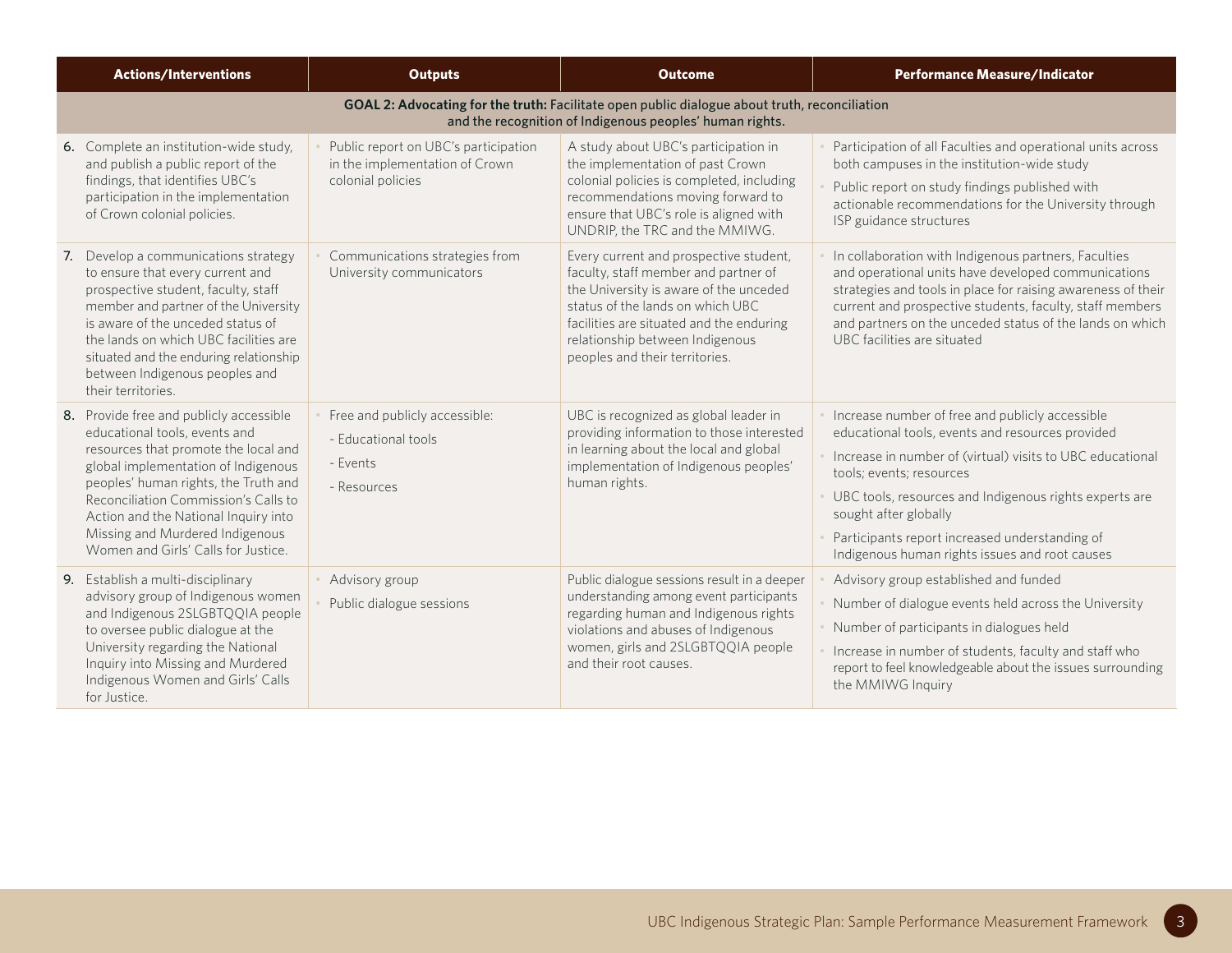| <b>Actions/Interventions</b>                                                                                                                                                                                                                                                                                                                              | <b>Outputs</b>                                                                              | <b>Outcome</b>                                                                                                                                                                                                                                                                | <b>Performance Measure/Indicator</b>                                                                                                                                                                                                                                                                                                                                                |  |  |
|-----------------------------------------------------------------------------------------------------------------------------------------------------------------------------------------------------------------------------------------------------------------------------------------------------------------------------------------------------------|---------------------------------------------------------------------------------------------|-------------------------------------------------------------------------------------------------------------------------------------------------------------------------------------------------------------------------------------------------------------------------------|-------------------------------------------------------------------------------------------------------------------------------------------------------------------------------------------------------------------------------------------------------------------------------------------------------------------------------------------------------------------------------------|--|--|
| GOAL 2: Advocating for the truth: Facilitate open public dialogue about truth, reconciliation<br>and the recognition of Indigenous peoples' human rights.                                                                                                                                                                                                 |                                                                                             |                                                                                                                                                                                                                                                                               |                                                                                                                                                                                                                                                                                                                                                                                     |  |  |
| 6. Complete an institution-wide study,<br>and publish a public report of the<br>findings, that identifies UBC's<br>participation in the implementation<br>of Crown colonial policies.                                                                                                                                                                     | Public report on UBC's participation<br>in the implementation of Crown<br>colonial policies | A study about UBC's participation in<br>the implementation of past Crown<br>colonial policies is completed, including<br>recommendations moving forward to<br>ensure that UBC's role is aligned with<br>UNDRIP, the TRC and the MMIWG.                                        | Participation of all Faculties and operational units across<br>both campuses in the institution-wide study<br>Public report on study findings published with<br>actionable recommendations for the University through<br>ISP guidance structures                                                                                                                                    |  |  |
| 7. Develop a communications strategy<br>to ensure that every current and<br>prospective student, faculty, staff<br>member and partner of the University<br>is aware of the unceded status of<br>the lands on which UBC facilities are<br>situated and the enduring relationship<br>between Indigenous peoples and<br>their territories.                   | Communications strategies from<br>University communicators                                  | Every current and prospective student,<br>faculty, staff member and partner of<br>the University is aware of the unceded<br>status of the lands on which UBC<br>facilities are situated and the enduring<br>relationship between Indigenous<br>peoples and their territories. | In collaboration with Indigenous partners, Faculties<br>and operational units have developed communications<br>strategies and tools in place for raising awareness of their<br>current and prospective students, faculty, staff members<br>and partners on the unceded status of the lands on which<br>UBC facilities are situated                                                  |  |  |
| 8. Provide free and publicly accessible<br>educational tools, events and<br>resources that promote the local and<br>global implementation of Indigenous<br>peoples' human rights, the Truth and<br>Reconciliation Commission's Calls to<br>Action and the National Inquiry into<br>Missing and Murdered Indigenous<br>Women and Girls' Calls for Justice. | Free and publicly accessible:<br>- Educational tools<br>- Events<br>- Resources             | UBC is recognized as global leader in<br>providing information to those interested<br>in learning about the local and global<br>implementation of Indigenous peoples'<br>human rights.                                                                                        | Increase number of free and publicly accessible<br>educational tools, events and resources provided<br>Increase in number of (virtual) visits to UBC educational<br>tools; events; resources<br>UBC tools, resources and Indigenous rights experts are<br>sought after globally<br>Participants report increased understanding of<br>Indigenous human rights issues and root causes |  |  |
| 9. Establish a multi-disciplinary<br>advisory group of Indigenous women<br>and Indigenous 2SLGBTQQIA people<br>to oversee public dialogue at the<br>University regarding the National<br>Inquiry into Missing and Murdered<br>Indigenous Women and Girls' Calls<br>for Justice.                                                                           | Advisory group<br>Public dialogue sessions                                                  | Public dialogue sessions result in a deeper<br>understanding among event participants<br>regarding human and Indigenous rights<br>violations and abuses of Indigenous<br>women, girls and 2SLGBTQQIA people<br>and their root causes.                                         | Advisory group established and funded<br>Number of dialogue events held across the University<br>Number of participants in dialogues held<br>Increase in number of students, faculty and staff who<br>report to feel knowledgeable about the issues surrounding<br>the MMIWG Inquiry                                                                                                |  |  |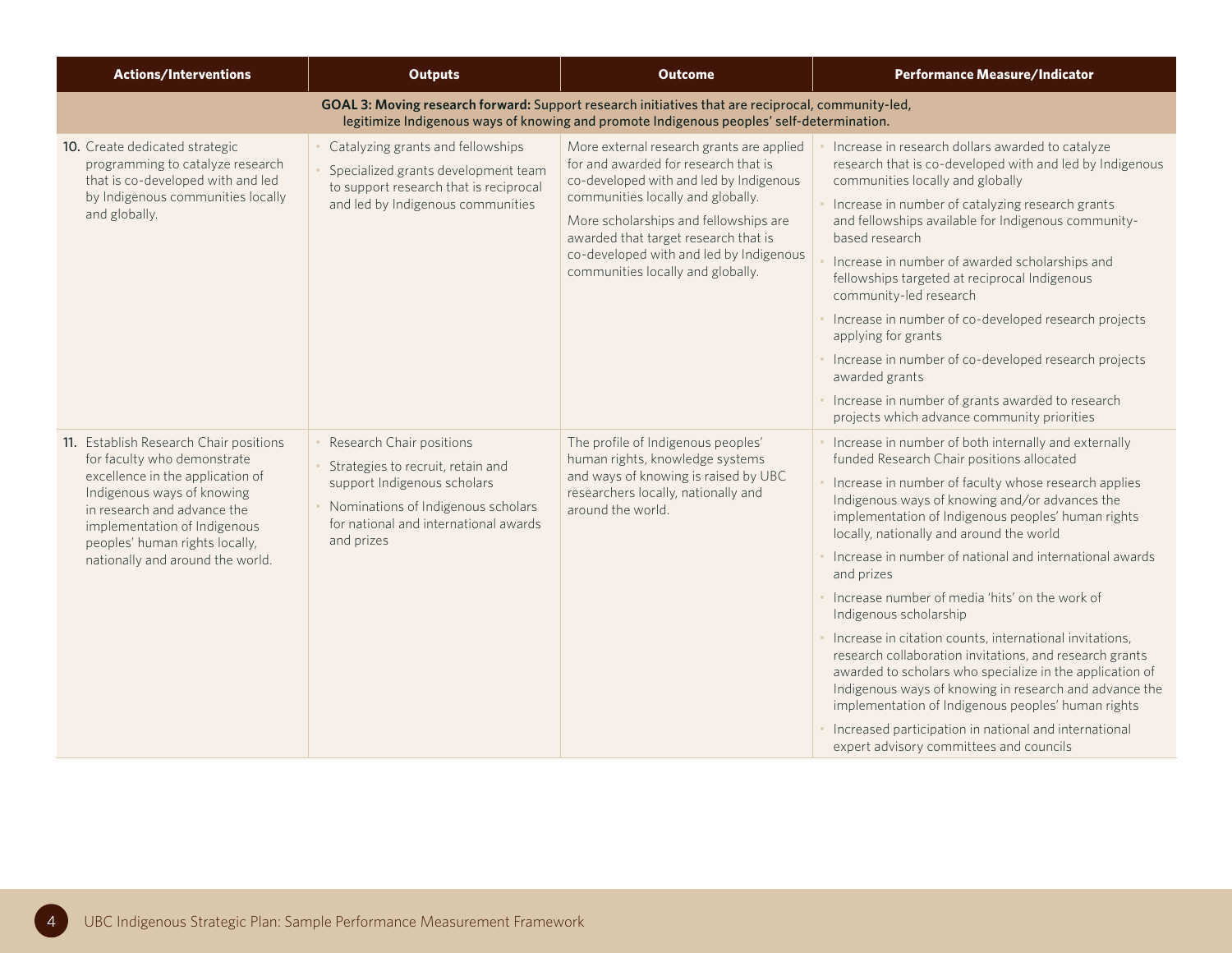| <b>Actions/Interventions</b>                                                                                                                                                                                                                                                 | <b>Outputs</b>                                                                                                                                                                            | <b>Outcome</b>                                                                                                                                                                                                                                                                                                                     | <b>Performance Measure/Indicator</b>                                                                                                                                                                                                                                                                                                                                                                                                                                                                                                                                                                                                                                                                                                                                                                                                                                       |
|------------------------------------------------------------------------------------------------------------------------------------------------------------------------------------------------------------------------------------------------------------------------------|-------------------------------------------------------------------------------------------------------------------------------------------------------------------------------------------|------------------------------------------------------------------------------------------------------------------------------------------------------------------------------------------------------------------------------------------------------------------------------------------------------------------------------------|----------------------------------------------------------------------------------------------------------------------------------------------------------------------------------------------------------------------------------------------------------------------------------------------------------------------------------------------------------------------------------------------------------------------------------------------------------------------------------------------------------------------------------------------------------------------------------------------------------------------------------------------------------------------------------------------------------------------------------------------------------------------------------------------------------------------------------------------------------------------------|
|                                                                                                                                                                                                                                                                              |                                                                                                                                                                                           | GOAL 3: Moving research forward: Support research initiatives that are reciprocal, community-led,<br>legitimize Indigenous ways of knowing and promote Indigenous peoples' self-determination.                                                                                                                                     |                                                                                                                                                                                                                                                                                                                                                                                                                                                                                                                                                                                                                                                                                                                                                                                                                                                                            |
| 10. Create dedicated strategic<br>programming to catalyze research<br>that is co-developed with and led<br>by Indigenous communities locally<br>and globally.                                                                                                                | Catalyzing grants and fellowships<br>Specialized grants development team<br>to support research that is reciprocal<br>and led by Indigenous communities                                   | More external research grants are applied<br>for and awarded for research that is<br>co-developed with and led by Indigenous<br>communities locally and globally.<br>More scholarships and fellowships are<br>awarded that target research that is<br>co-developed with and led by Indigenous<br>communities locally and globally. | Increase in research dollars awarded to catalyze<br>research that is co-developed with and led by Indigenous<br>communities locally and globally<br>Increase in number of catalyzing research grants<br>and fellowships available for Indigenous community-<br>hased research<br>Increase in number of awarded scholarships and<br>fellowships targeted at reciprocal Indigenous<br>community-led research<br>· Increase in number of co-developed research projects<br>applying for grants<br>Increase in number of co-developed research projects<br>awarded grants<br>Increase in number of grants awarded to research<br>projects which advance community priorities                                                                                                                                                                                                   |
| 11. Establish Research Chair positions<br>for faculty who demonstrate<br>excellence in the application of<br>Indigenous ways of knowing<br>in research and advance the<br>implementation of Indigenous<br>peoples' human rights locally,<br>nationally and around the world. | Research Chair positions<br>Strategies to recruit, retain and<br>support Indigenous scholars<br>Nominations of Indigenous scholars<br>for national and international awards<br>and prizes | The profile of Indigenous peoples'<br>human rights, knowledge systems<br>and ways of knowing is raised by UBC<br>researchers locally, nationally and<br>around the world.                                                                                                                                                          | Increase in number of both internally and externally<br>funded Research Chair positions allocated<br>Increase in number of faculty whose research applies<br>Indigenous ways of knowing and/or advances the<br>implementation of Indigenous peoples' human rights<br>locally, nationally and around the world<br>Increase in number of national and international awards<br>and prizes<br>Increase number of media 'hits' on the work of<br>Indigenous scholarship<br>· Increase in citation counts, international invitations,<br>research collaboration invitations, and research grants<br>awarded to scholars who specialize in the application of<br>Indigenous ways of knowing in research and advance the<br>implementation of Indigenous peoples' human rights<br>Increased participation in national and international<br>expert advisory committees and councils |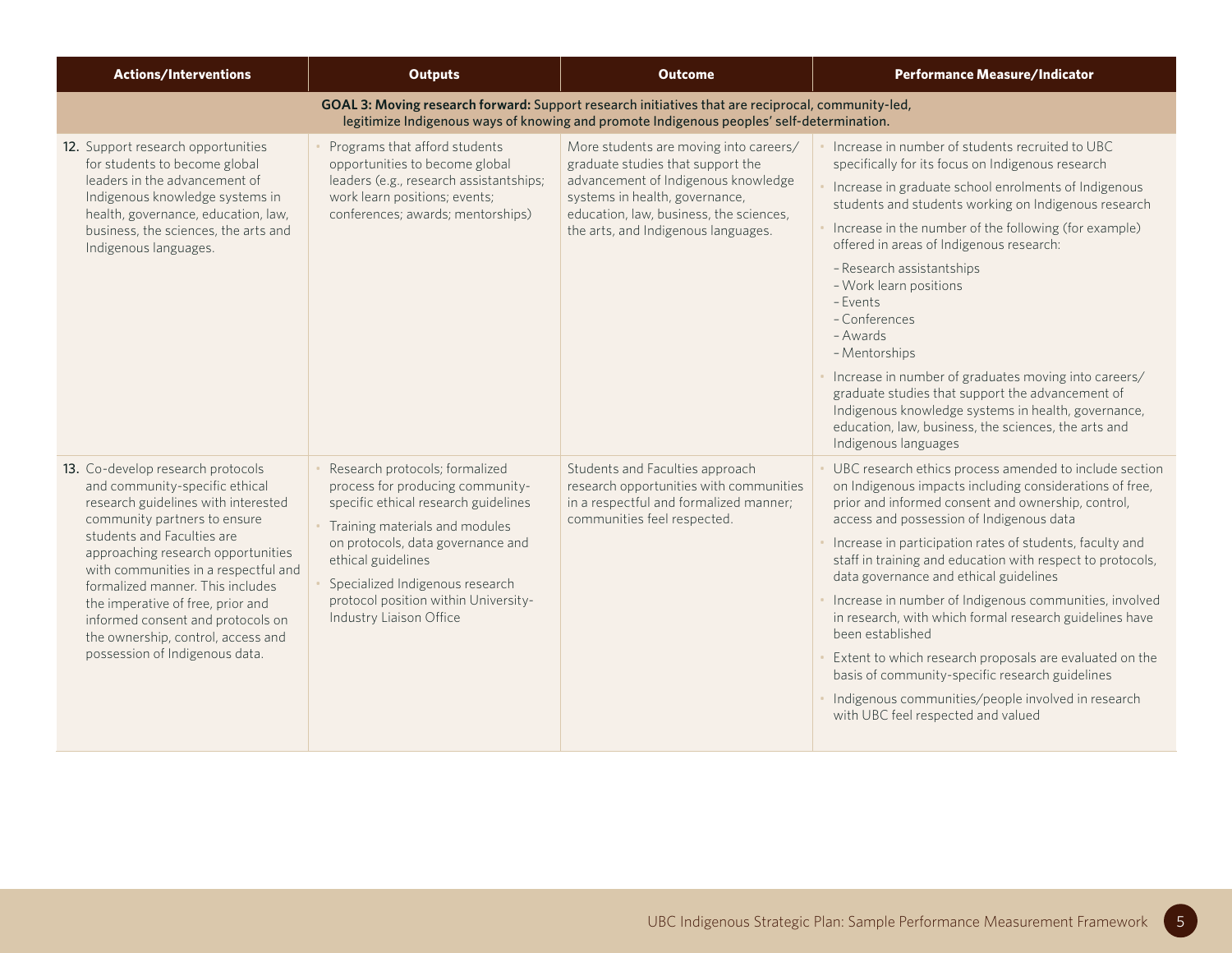| <b>Actions/Interventions</b>                                                                                                                                                                                                                                                                                                                                                                                                                 | <b>Outputs</b>                                                                                                                                                                                                                                                                                                | <b>Outcome</b>                                                                                                                                                                                                                         | <b>Performance Measure/Indicator</b>                                                                                                                                                                                                                                                                                                                                                                                                                                                                                                                                                                                                                                                                                                       |
|----------------------------------------------------------------------------------------------------------------------------------------------------------------------------------------------------------------------------------------------------------------------------------------------------------------------------------------------------------------------------------------------------------------------------------------------|---------------------------------------------------------------------------------------------------------------------------------------------------------------------------------------------------------------------------------------------------------------------------------------------------------------|----------------------------------------------------------------------------------------------------------------------------------------------------------------------------------------------------------------------------------------|--------------------------------------------------------------------------------------------------------------------------------------------------------------------------------------------------------------------------------------------------------------------------------------------------------------------------------------------------------------------------------------------------------------------------------------------------------------------------------------------------------------------------------------------------------------------------------------------------------------------------------------------------------------------------------------------------------------------------------------------|
|                                                                                                                                                                                                                                                                                                                                                                                                                                              |                                                                                                                                                                                                                                                                                                               | GOAL 3: Moving research forward: Support research initiatives that are reciprocal, community-led,<br>legitimize Indigenous ways of knowing and promote Indigenous peoples' self-determination.                                         |                                                                                                                                                                                                                                                                                                                                                                                                                                                                                                                                                                                                                                                                                                                                            |
| 12. Support research opportunities<br>for students to become global<br>leaders in the advancement of<br>Indigenous knowledge systems in<br>health, governance, education, law,<br>business, the sciences, the arts and<br>Indigenous languages.                                                                                                                                                                                              | Programs that afford students<br>opportunities to become global<br>leaders (e.g., research assistantships;<br>work learn positions; events;<br>conferences; awards; mentorships)                                                                                                                              | More students are moving into careers/<br>graduate studies that support the<br>advancement of Indigenous knowledge<br>systems in health, governance,<br>education, law, business, the sciences,<br>the arts, and Indigenous languages. | Increase in number of students recruited to UBC<br>specifically for its focus on Indigenous research<br>Increase in graduate school enrolments of Indigenous<br>students and students working on Indigenous research<br>Increase in the number of the following (for example)<br>offered in areas of Indigenous research:<br>- Research assistantships<br>- Work learn positions<br>- Events<br>-Conferences<br>- Awards<br>- Mentorships<br>Increase in number of graduates moving into careers/<br>graduate studies that support the advancement of<br>Indigenous knowledge systems in health, governance,<br>education, law, business, the sciences, the arts and<br>Indigenous languages                                               |
| 13. Co-develop research protocols<br>and community-specific ethical<br>research guidelines with interested<br>community partners to ensure<br>students and Faculties are<br>approaching research opportunities<br>with communities in a respectful and<br>formalized manner. This includes<br>the imperative of free, prior and<br>informed consent and protocols on<br>the ownership, control, access and<br>possession of Indigenous data. | Research protocols; formalized<br>process for producing community-<br>specific ethical research guidelines<br>Training materials and modules<br>on protocols, data governance and<br>ethical guidelines<br>Specialized Indigenous research<br>protocol position within University-<br>Industry Liaison Office | Students and Faculties approach<br>research opportunities with communities<br>in a respectful and formalized manner;<br>communities feel respected.                                                                                    | UBC research ethics process amended to include section<br>on Indigenous impacts including considerations of free,<br>prior and informed consent and ownership, control,<br>access and possession of Indigenous data<br>Increase in participation rates of students, faculty and<br>staff in training and education with respect to protocols,<br>data governance and ethical guidelines<br>Increase in number of Indigenous communities, involved<br>in research, with which formal research guidelines have<br>been established<br>Extent to which research proposals are evaluated on the<br>basis of community-specific research guidelines<br>Indigenous communities/people involved in research<br>with UBC feel respected and valued |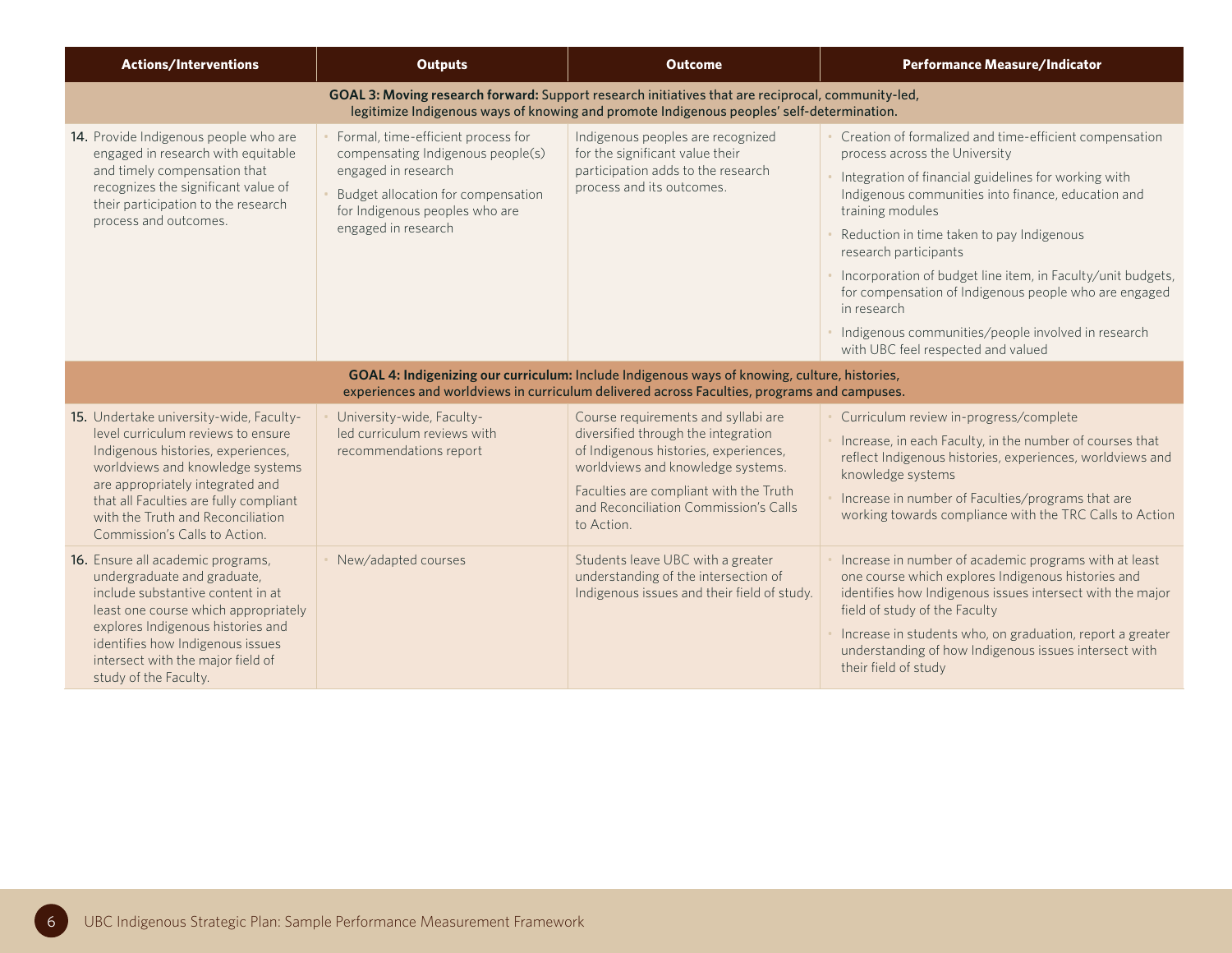| <b>Actions/Interventions</b>                                                                                                                                                                                                                                                                                | <b>Outputs</b>                                                                                                                                                                                | <b>Outcome</b>                                                                                                                                                                                                                                            | <b>Performance Measure/Indicator</b>                                                                                                                                                                                                                                                                                                                                                                                                                                                                                               |
|-------------------------------------------------------------------------------------------------------------------------------------------------------------------------------------------------------------------------------------------------------------------------------------------------------------|-----------------------------------------------------------------------------------------------------------------------------------------------------------------------------------------------|-----------------------------------------------------------------------------------------------------------------------------------------------------------------------------------------------------------------------------------------------------------|------------------------------------------------------------------------------------------------------------------------------------------------------------------------------------------------------------------------------------------------------------------------------------------------------------------------------------------------------------------------------------------------------------------------------------------------------------------------------------------------------------------------------------|
|                                                                                                                                                                                                                                                                                                             |                                                                                                                                                                                               | GOAL 3: Moving research forward: Support research initiatives that are reciprocal, community-led,<br>legitimize Indigenous ways of knowing and promote Indigenous peoples' self-determination.                                                            |                                                                                                                                                                                                                                                                                                                                                                                                                                                                                                                                    |
| 14. Provide Indigenous people who are<br>engaged in research with equitable<br>and timely compensation that<br>recognizes the significant value of<br>their participation to the research<br>process and outcomes.                                                                                          | Formal, time-efficient process for<br>compensating Indigenous people(s)<br>engaged in research<br>Budget allocation for compensation<br>for Indigenous peoples who are<br>engaged in research | Indigenous peoples are recognized<br>for the significant value their<br>participation adds to the research<br>process and its outcomes.                                                                                                                   | Creation of formalized and time-efficient compensation<br>process across the University<br>Integration of financial guidelines for working with<br>Indigenous communities into finance, education and<br>training modules<br>Reduction in time taken to pay Indigenous<br>research participants<br>Incorporation of budget line item, in Faculty/unit budgets,<br>for compensation of Indigenous people who are engaged<br>in research<br>Indigenous communities/people involved in research<br>with UBC feel respected and valued |
|                                                                                                                                                                                                                                                                                                             |                                                                                                                                                                                               | GOAL 4: Indigenizing our curriculum: Include Indigenous ways of knowing, culture, histories,<br>experiences and worldviews in curriculum delivered across Faculties, programs and campuses.                                                               |                                                                                                                                                                                                                                                                                                                                                                                                                                                                                                                                    |
| 15. Undertake university-wide, Faculty-<br>level curriculum reviews to ensure<br>Indigenous histories, experiences,<br>worldviews and knowledge systems<br>are appropriately integrated and<br>that all Faculties are fully compliant<br>with the Truth and Reconciliation<br>Commission's Calls to Action. | University-wide, Faculty-<br>led curriculum reviews with<br>recommendations report                                                                                                            | Course requirements and syllabi are<br>diversified through the integration<br>of Indigenous histories, experiences,<br>worldviews and knowledge systems.<br>Faculties are compliant with the Truth<br>and Reconciliation Commission's Calls<br>to Action. | Curriculum review in-progress/complete<br>Increase, in each Faculty, in the number of courses that<br>reflect Indigenous histories, experiences, worldviews and<br>knowledge systems<br>Increase in number of Faculties/programs that are<br>working towards compliance with the TRC Calls to Action                                                                                                                                                                                                                               |
| 16. Ensure all academic programs,<br>undergraduate and graduate,<br>include substantive content in at<br>least one course which appropriately<br>explores Indigenous histories and<br>identifies how Indigenous issues<br>intersect with the major field of<br>study of the Faculty.                        | New/adapted courses                                                                                                                                                                           | Students leave UBC with a greater<br>understanding of the intersection of<br>Indigenous issues and their field of study.                                                                                                                                  | Increase in number of academic programs with at least<br>one course which explores Indigenous histories and<br>identifies how Indigenous issues intersect with the major<br>field of study of the Faculty<br>Increase in students who, on graduation, report a greater<br>understanding of how Indigenous issues intersect with<br>their field of study                                                                                                                                                                            |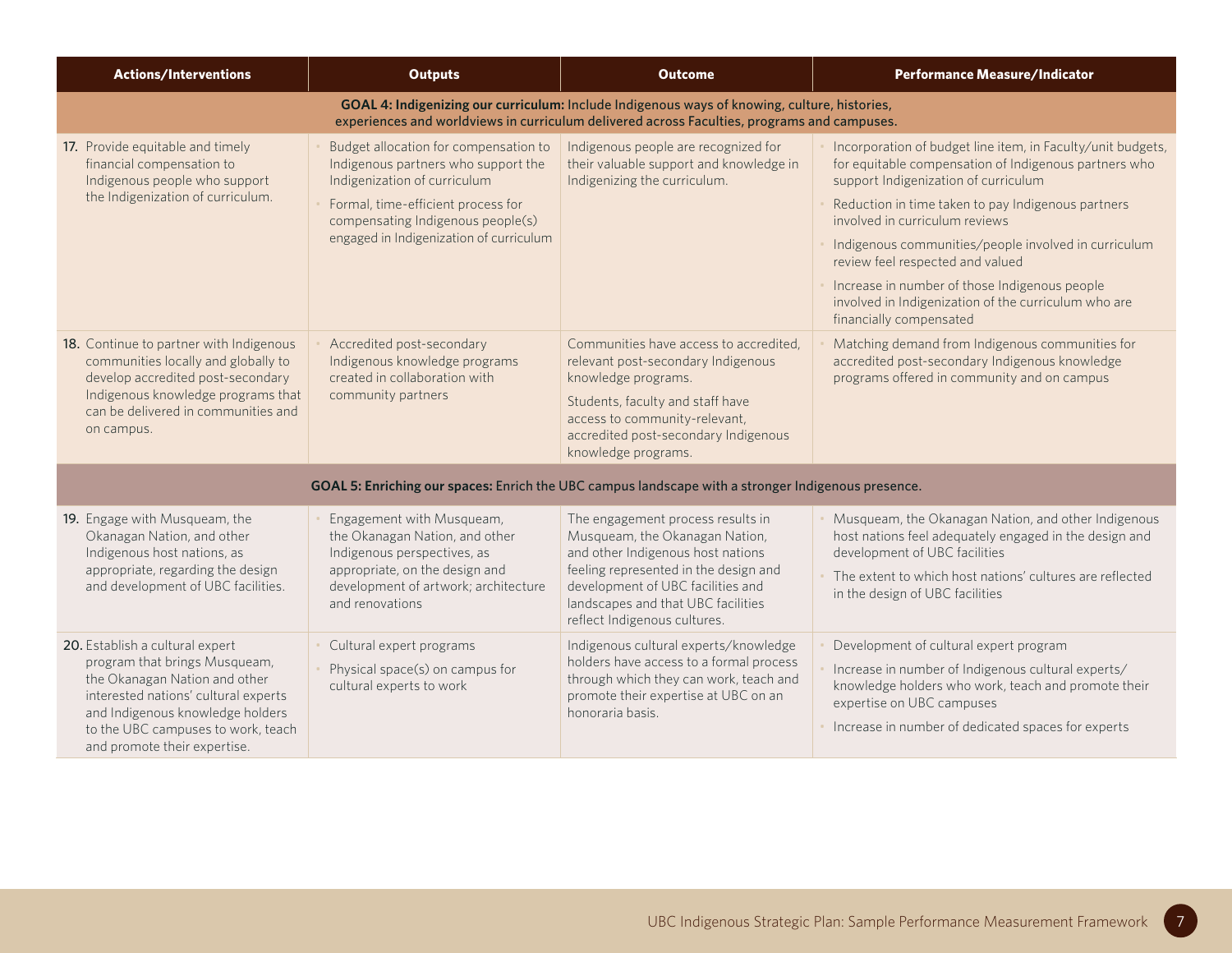| <b>Actions/Interventions</b>                                                                                                                                                                                                                        | <b>Outputs</b>                                                                                                                                                                                                                     | <b>Outcome</b>                                                                                                                                                                                                                                               | <b>Performance Measure/Indicator</b>                                                                                                                                                                                                                                                                                                                                                                                                                                                 |
|-----------------------------------------------------------------------------------------------------------------------------------------------------------------------------------------------------------------------------------------------------|------------------------------------------------------------------------------------------------------------------------------------------------------------------------------------------------------------------------------------|--------------------------------------------------------------------------------------------------------------------------------------------------------------------------------------------------------------------------------------------------------------|--------------------------------------------------------------------------------------------------------------------------------------------------------------------------------------------------------------------------------------------------------------------------------------------------------------------------------------------------------------------------------------------------------------------------------------------------------------------------------------|
|                                                                                                                                                                                                                                                     |                                                                                                                                                                                                                                    | GOAL 4: Indigenizing our curriculum: Include Indigenous ways of knowing, culture, histories,<br>experiences and worldviews in curriculum delivered across Faculties, programs and campuses.                                                                  |                                                                                                                                                                                                                                                                                                                                                                                                                                                                                      |
| 17. Provide equitable and timely<br>financial compensation to<br>Indigenous people who support<br>the Indigenization of curriculum.                                                                                                                 | Budget allocation for compensation to<br>Indigenous partners who support the<br>Indigenization of curriculum<br>Formal, time-efficient process for<br>compensating Indigenous people(s)<br>engaged in Indigenization of curriculum | Indigenous people are recognized for<br>their valuable support and knowledge in<br>Indigenizing the curriculum.                                                                                                                                              | Incorporation of budget line item, in Faculty/unit budgets,<br>for equitable compensation of Indigenous partners who<br>support Indigenization of curriculum<br>Reduction in time taken to pay Indigenous partners<br>involved in curriculum reviews<br>Indigenous communities/people involved in curriculum<br>review feel respected and valued<br>Increase in number of those Indigenous people<br>involved in Indigenization of the curriculum who are<br>financially compensated |
| 18. Continue to partner with Indigenous<br>communities locally and globally to<br>develop accredited post-secondary<br>Indigenous knowledge programs that<br>can be delivered in communities and<br>on campus.                                      | Accredited post-secondary<br>Indigenous knowledge programs<br>created in collaboration with<br>community partners                                                                                                                  | Communities have access to accredited,<br>relevant post-secondary Indigenous<br>knowledge programs.<br>Students, faculty and staff have<br>access to community-relevant,<br>accredited post-secondary Indigenous<br>knowledge programs.                      | Matching demand from Indigenous communities for<br>accredited post-secondary Indigenous knowledge<br>programs offered in community and on campus                                                                                                                                                                                                                                                                                                                                     |
|                                                                                                                                                                                                                                                     |                                                                                                                                                                                                                                    | GOAL 5: Enriching our spaces: Enrich the UBC campus landscape with a stronger Indigenous presence.                                                                                                                                                           |                                                                                                                                                                                                                                                                                                                                                                                                                                                                                      |
| 19. Engage with Musqueam, the<br>Okanagan Nation, and other<br>Indigenous host nations, as<br>appropriate, regarding the design<br>and development of UBC facilities.                                                                               | Engagement with Musqueam,<br>the Okanagan Nation, and other<br>Indigenous perspectives, as<br>appropriate, on the design and<br>development of artwork; architecture<br>and renovations                                            | The engagement process results in<br>Musqueam, the Okanagan Nation,<br>and other Indigenous host nations<br>feeling represented in the design and<br>development of UBC facilities and<br>landscapes and that UBC facilities<br>reflect Indigenous cultures. | Musqueam, the Okanagan Nation, and other Indigenous<br>host nations feel adequately engaged in the design and<br>development of UBC facilities<br>The extent to which host nations' cultures are reflected<br>in the design of UBC facilities                                                                                                                                                                                                                                        |
| 20. Establish a cultural expert<br>program that brings Musqueam,<br>the Okanagan Nation and other<br>interested nations' cultural experts<br>and Indigenous knowledge holders<br>to the UBC campuses to work, teach<br>and promote their expertise. | Cultural expert programs<br>Physical space(s) on campus for<br>cultural experts to work                                                                                                                                            | Indigenous cultural experts/knowledge<br>holders have access to a formal process<br>through which they can work, teach and<br>promote their expertise at UBC on an<br>honoraria basis.                                                                       | Development of cultural expert program<br>Increase in number of Indigenous cultural experts/<br>knowledge holders who work, teach and promote their<br>expertise on UBC campuses<br>Increase in number of dedicated spaces for experts                                                                                                                                                                                                                                               |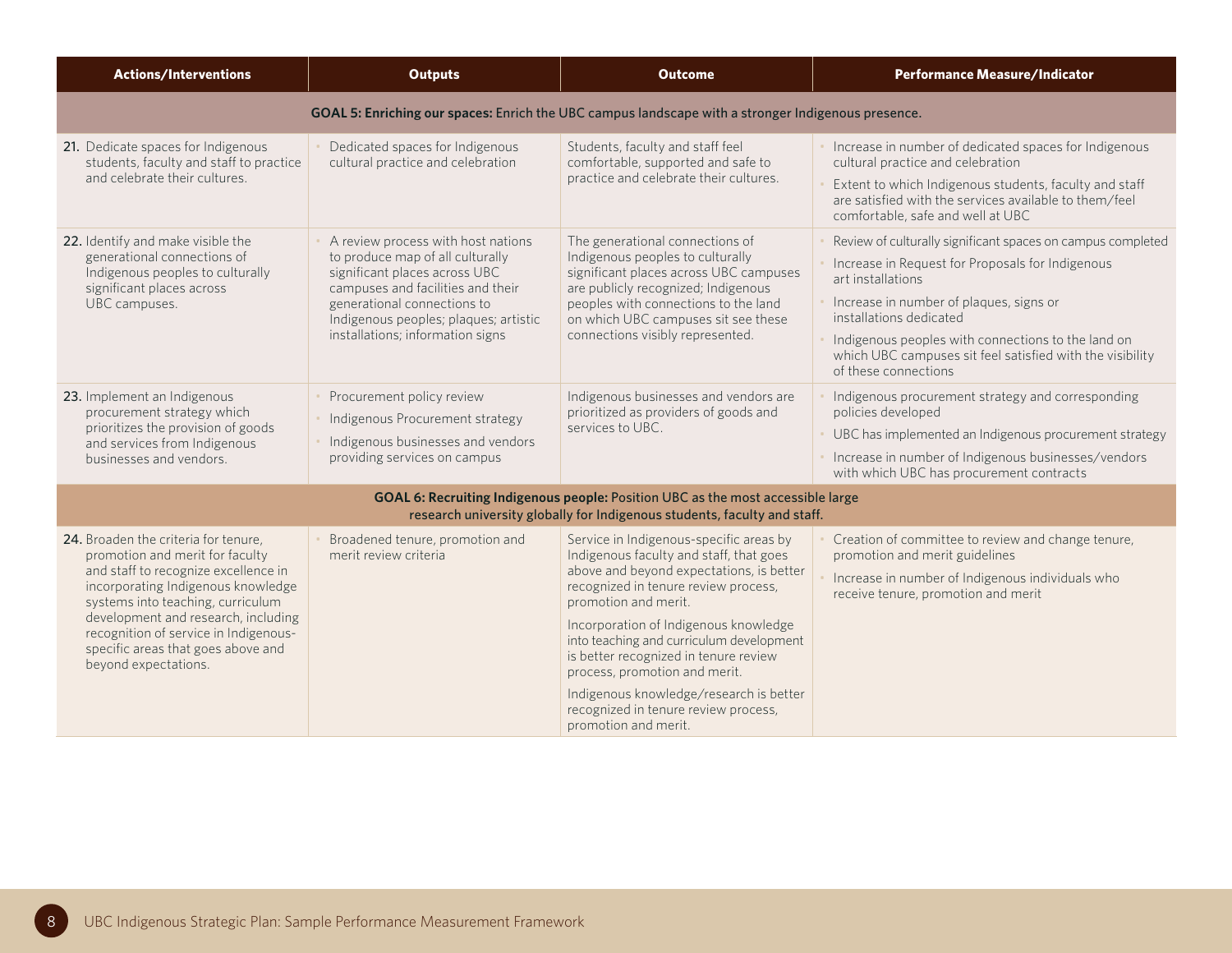| <b>Actions/Interventions</b>                                                                                                                                                                                                                                                                                                             | <b>Outputs</b>                                                                                                                                                                                                                                           | <b>Outcome</b>                                                                                                                                                                                                                                                                                                                                                                                                                                                           | <b>Performance Measure/Indicator</b>                                                                                                                                                                                                                                                                                                                  |
|------------------------------------------------------------------------------------------------------------------------------------------------------------------------------------------------------------------------------------------------------------------------------------------------------------------------------------------|----------------------------------------------------------------------------------------------------------------------------------------------------------------------------------------------------------------------------------------------------------|--------------------------------------------------------------------------------------------------------------------------------------------------------------------------------------------------------------------------------------------------------------------------------------------------------------------------------------------------------------------------------------------------------------------------------------------------------------------------|-------------------------------------------------------------------------------------------------------------------------------------------------------------------------------------------------------------------------------------------------------------------------------------------------------------------------------------------------------|
|                                                                                                                                                                                                                                                                                                                                          |                                                                                                                                                                                                                                                          | GOAL 5: Enriching our spaces: Enrich the UBC campus landscape with a stronger Indigenous presence.                                                                                                                                                                                                                                                                                                                                                                       |                                                                                                                                                                                                                                                                                                                                                       |
| 21. Dedicate spaces for Indigenous<br>students, faculty and staff to practice<br>and celebrate their cultures.                                                                                                                                                                                                                           | Dedicated spaces for Indigenous<br>cultural practice and celebration                                                                                                                                                                                     | Students, faculty and staff feel<br>comfortable, supported and safe to<br>practice and celebrate their cultures.                                                                                                                                                                                                                                                                                                                                                         | Increase in number of dedicated spaces for Indigenous<br>cultural practice and celebration<br>Extent to which Indigenous students, faculty and staff<br>are satisfied with the services available to them/feel<br>comfortable, safe and well at UBC                                                                                                   |
| 22. Identify and make visible the<br>generational connections of<br>Indigenous peoples to culturally<br>significant places across<br>UBC campuses.                                                                                                                                                                                       | A review process with host nations<br>to produce map of all culturally<br>significant places across UBC<br>campuses and facilities and their<br>generational connections to<br>Indigenous peoples; plaques; artistic<br>installations; information signs | The generational connections of<br>Indigenous peoples to culturally<br>significant places across UBC campuses<br>are publicly recognized; Indigenous<br>peoples with connections to the land<br>on which UBC campuses sit see these<br>connections visibly represented.                                                                                                                                                                                                  | Review of culturally significant spaces on campus completed<br>Increase in Request for Proposals for Indigenous<br>art installations<br>Increase in number of plaques, signs or<br>installations dedicated<br>Indigenous peoples with connections to the land on<br>which UBC campuses sit feel satisfied with the visibility<br>of these connections |
| 23. Implement an Indigenous<br>procurement strategy which<br>prioritizes the provision of goods<br>and services from Indigenous<br>businesses and vendors.                                                                                                                                                                               | Procurement policy review<br>Indigenous Procurement strategy<br>Indigenous businesses and vendors<br>providing services on campus                                                                                                                        | Indigenous businesses and vendors are<br>prioritized as providers of goods and<br>services to UBC.                                                                                                                                                                                                                                                                                                                                                                       | Indigenous procurement strategy and corresponding<br>policies developed<br>UBC has implemented an Indigenous procurement strategy<br>Increase in number of Indigenous businesses/vendors<br>with which UBC has procurement contracts                                                                                                                  |
|                                                                                                                                                                                                                                                                                                                                          |                                                                                                                                                                                                                                                          | GOAL 6: Recruiting Indigenous people: Position UBC as the most accessible large<br>research university globally for Indigenous students, faculty and staff.                                                                                                                                                                                                                                                                                                              |                                                                                                                                                                                                                                                                                                                                                       |
| 24. Broaden the criteria for tenure,<br>promotion and merit for faculty<br>and staff to recognize excellence in<br>incorporating Indigenous knowledge<br>systems into teaching, curriculum<br>development and research, including<br>recognition of service in Indigenous-<br>specific areas that goes above and<br>beyond expectations. | Broadened tenure, promotion and<br>merit review criteria                                                                                                                                                                                                 | Service in Indigenous-specific areas by<br>Indigenous faculty and staff, that goes<br>above and beyond expectations, is better<br>recognized in tenure review process,<br>promotion and merit.<br>Incorporation of Indigenous knowledge<br>into teaching and curriculum development<br>is better recognized in tenure review<br>process, promotion and merit.<br>Indigenous knowledge/research is better<br>recognized in tenure review process,<br>promotion and merit. | Creation of committee to review and change tenure,<br>promotion and merit guidelines<br>Increase in number of Indigenous individuals who<br>receive tenure, promotion and merit                                                                                                                                                                       |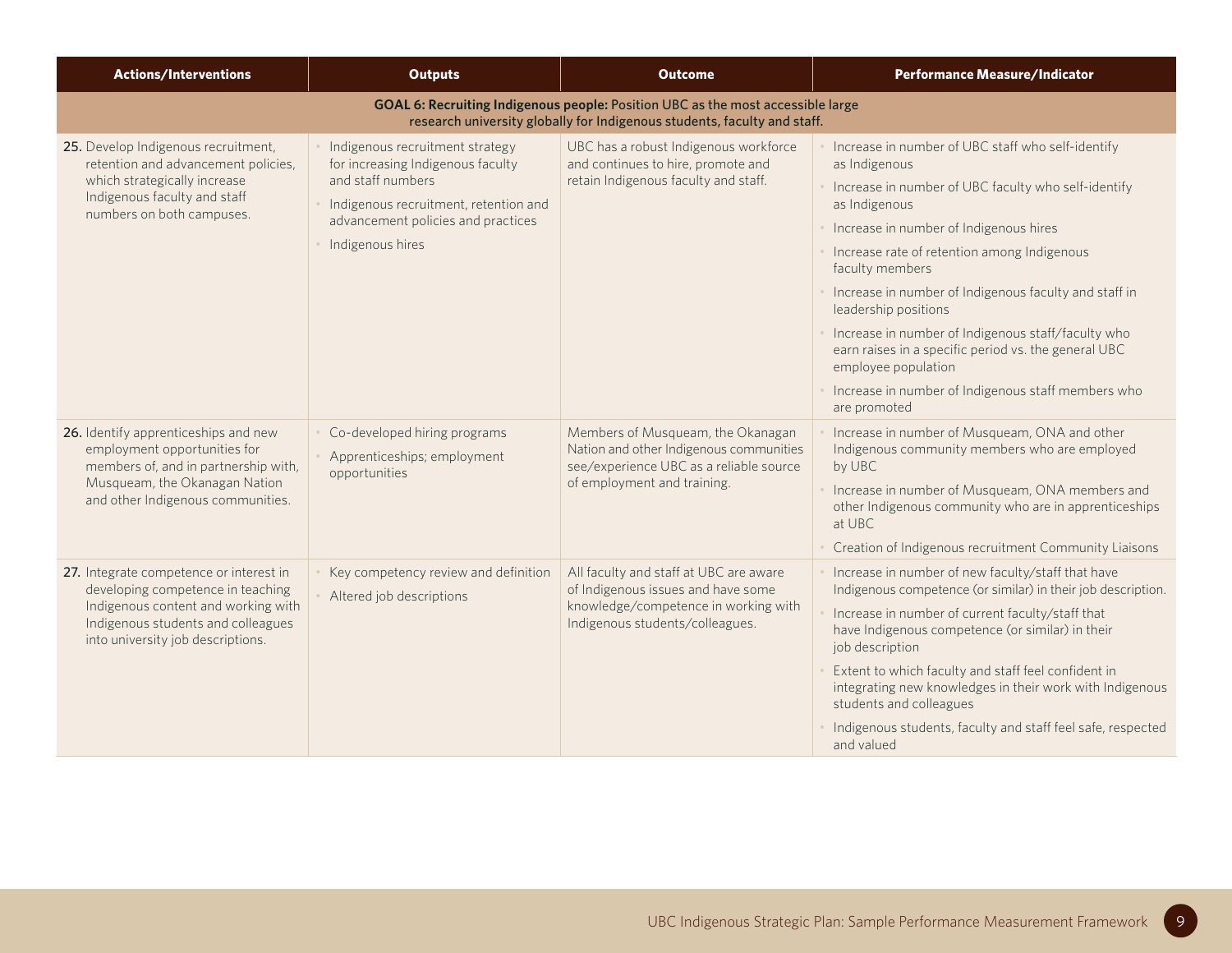| <b>Actions/Interventions</b>                                                                                                                                                                   | <b>Outputs</b>                                                                                                                                                                               | <b>Outcome</b>                                                                                                                                              | <b>Performance Measure/Indicator</b>                                                                                                                                                                                                                                                                                                                                                                                                                                                                                                                   |
|------------------------------------------------------------------------------------------------------------------------------------------------------------------------------------------------|----------------------------------------------------------------------------------------------------------------------------------------------------------------------------------------------|-------------------------------------------------------------------------------------------------------------------------------------------------------------|--------------------------------------------------------------------------------------------------------------------------------------------------------------------------------------------------------------------------------------------------------------------------------------------------------------------------------------------------------------------------------------------------------------------------------------------------------------------------------------------------------------------------------------------------------|
|                                                                                                                                                                                                |                                                                                                                                                                                              | GOAL 6: Recruiting Indigenous people: Position UBC as the most accessible large<br>research university globally for Indigenous students, faculty and staff. |                                                                                                                                                                                                                                                                                                                                                                                                                                                                                                                                                        |
| 25. Develop Indigenous recruitment,<br>retention and advancement policies,<br>which strategically increase<br>Indigenous faculty and staff<br>numbers on both campuses.                        | Indigenous recruitment strategy<br>for increasing Indigenous faculty<br>and staff numbers<br>Indigenous recruitment, retention and<br>advancement policies and practices<br>Indigenous hires | UBC has a robust Indigenous workforce<br>and continues to hire, promote and<br>retain Indigenous faculty and staff.                                         | Increase in number of UBC staff who self-identify<br>as Indigenous<br>Increase in number of UBC faculty who self-identify<br>as Indigenous<br>· Increase in number of Indigenous hires<br>• Increase rate of retention among Indigenous<br>faculty members<br>Increase in number of Indigenous faculty and staff in<br>leadership positions<br>Increase in number of Indigenous staff/faculty who<br>earn raises in a specific period vs. the general UBC<br>employee population<br>Increase in number of Indigenous staff members who<br>are promoted |
| 26. Identify apprenticeships and new<br>employment opportunities for<br>members of, and in partnership with,<br>Musqueam, the Okanagan Nation<br>and other Indigenous communities.             | Co-developed hiring programs<br>Apprenticeships; employment<br>opportunities                                                                                                                 | Members of Musqueam, the Okanagan<br>Nation and other Indigenous communities<br>see/experience UBC as a reliable source<br>of employment and training.      | Increase in number of Musqueam, ONA and other<br>Indigenous community members who are employed<br>by UBC<br>Increase in number of Musqueam, ONA members and<br>other Indigenous community who are in apprenticeships<br>at UBC<br>Creation of Indigenous recruitment Community Liaisons                                                                                                                                                                                                                                                                |
| 27. Integrate competence or interest in<br>developing competence in teaching<br>Indigenous content and working with<br>Indigenous students and colleagues<br>into university job descriptions. | Key competency review and definition<br>Altered job descriptions                                                                                                                             | All faculty and staff at UBC are aware<br>of Indigenous issues and have some<br>knowledge/competence in working with<br>Indigenous students/colleagues.     | Increase in number of new faculty/staff that have<br>Indigenous competence (or similar) in their job description.<br>Increase in number of current faculty/staff that<br>have Indigenous competence (or similar) in their<br>job description<br>Extent to which faculty and staff feel confident in<br>integrating new knowledges in their work with Indigenous<br>students and colleagues<br>Indigenous students, faculty and staff feel safe, respected<br>and valued                                                                                |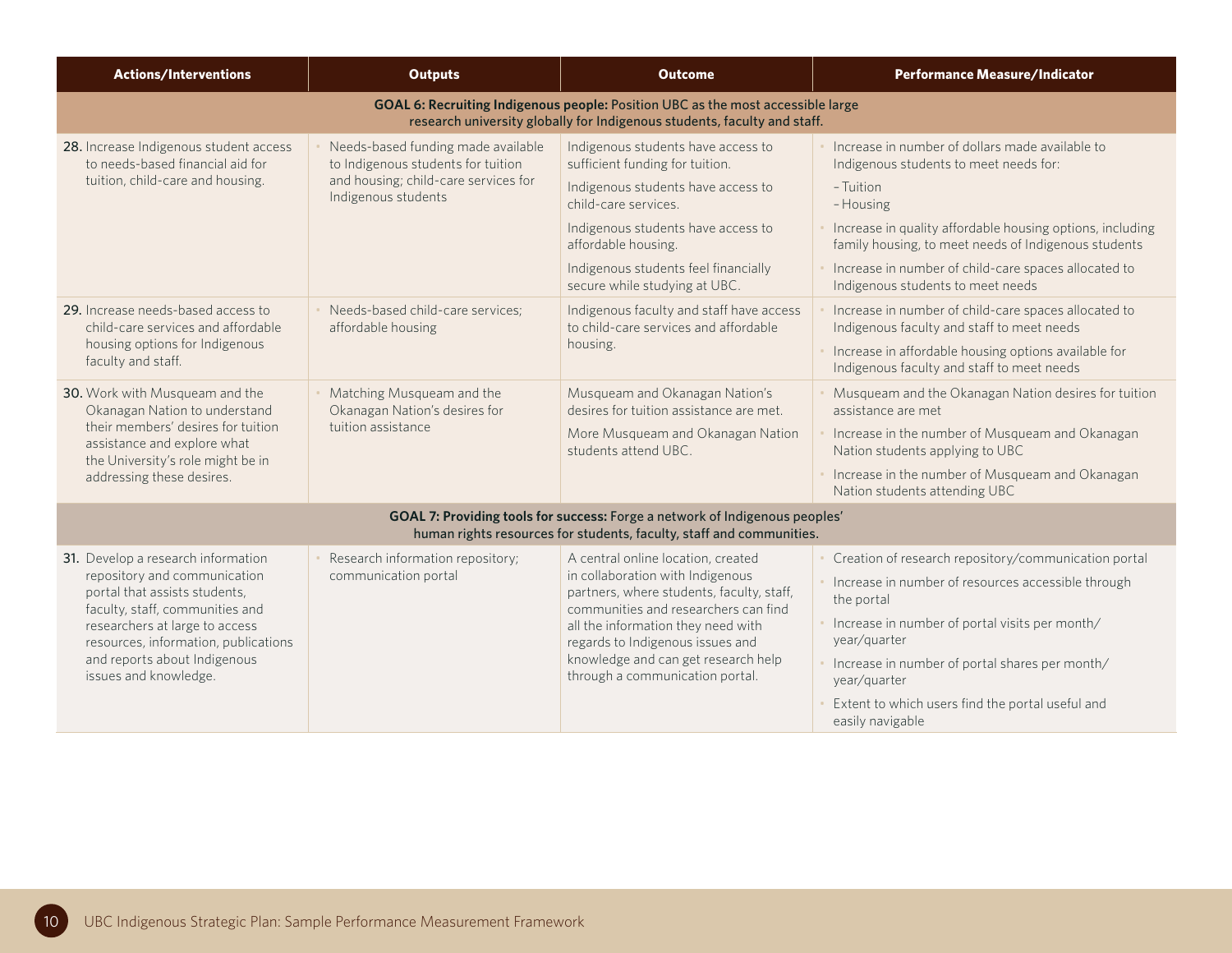| <b>Actions/Interventions</b>                                                                                                                                                                                                                                              | <b>Outputs</b>                                                                                                                          | <b>Outcome</b>                                                                                                                                                                                                                                                                                                  | <b>Performance Measure/Indicator</b>                                                                                                                                                                                                                                                                                                  |
|---------------------------------------------------------------------------------------------------------------------------------------------------------------------------------------------------------------------------------------------------------------------------|-----------------------------------------------------------------------------------------------------------------------------------------|-----------------------------------------------------------------------------------------------------------------------------------------------------------------------------------------------------------------------------------------------------------------------------------------------------------------|---------------------------------------------------------------------------------------------------------------------------------------------------------------------------------------------------------------------------------------------------------------------------------------------------------------------------------------|
|                                                                                                                                                                                                                                                                           |                                                                                                                                         | GOAL 6: Recruiting Indigenous people: Position UBC as the most accessible large<br>research university globally for Indigenous students, faculty and staff.                                                                                                                                                     |                                                                                                                                                                                                                                                                                                                                       |
| 28. Increase Indigenous student access<br>to needs-based financial aid for<br>tuition, child-care and housing.                                                                                                                                                            | Needs-based funding made available<br>to Indigenous students for tuition<br>and housing; child-care services for<br>Indigenous students | Indigenous students have access to<br>sufficient funding for tuition.<br>Indigenous students have access to<br>child-care services<br>Indigenous students have access to<br>affordable housing.<br>Indigenous students feel financially<br>secure while studying at UBC.                                        | Increase in number of dollars made available to<br>Indigenous students to meet needs for:<br>- Tuition<br>- Housing<br>Increase in quality affordable housing options, including<br>family housing, to meet needs of Indigenous students<br>Increase in number of child-care spaces allocated to<br>Indigenous students to meet needs |
| 29. Increase needs-based access to<br>child-care services and affordable<br>housing options for Indigenous<br>faculty and staff.                                                                                                                                          | Needs-based child-care services;<br>affordable housing                                                                                  | Indigenous faculty and staff have access<br>to child-care services and affordable<br>housing.                                                                                                                                                                                                                   | Increase in number of child-care spaces allocated to<br>Indigenous faculty and staff to meet needs<br>Increase in affordable housing options available for<br>Indigenous faculty and staff to meet needs                                                                                                                              |
| 30. Work with Musqueam and the<br>Okanagan Nation to understand<br>their members' desires for tuition<br>assistance and explore what<br>the University's role might be in<br>addressing these desires.                                                                    | Matching Musqueam and the<br>Okanagan Nation's desires for<br>tuition assistance                                                        | Musqueam and Okanagan Nation's<br>desires for tuition assistance are met.<br>More Musqueam and Okanagan Nation<br>students attend UBC.                                                                                                                                                                          | Musqueam and the Okanagan Nation desires for tuition<br>assistance are met<br>Increase in the number of Musqueam and Okanagan<br>Nation students applying to UBC<br>Increase in the number of Musqueam and Okanagan<br>Nation students attending UBC                                                                                  |
|                                                                                                                                                                                                                                                                           |                                                                                                                                         | GOAL 7: Providing tools for success: Forge a network of Indigenous peoples'<br>human rights resources for students, faculty, staff and communities.                                                                                                                                                             |                                                                                                                                                                                                                                                                                                                                       |
| 31. Develop a research information<br>repository and communication<br>portal that assists students,<br>faculty, staff, communities and<br>researchers at large to access<br>resources, information, publications<br>and reports about Indigenous<br>issues and knowledge. | Research information repository;<br>communication portal                                                                                | A central online location, created<br>in collaboration with Indigenous<br>partners, where students, faculty, staff,<br>communities and researchers can find<br>all the information they need with<br>regards to Indigenous issues and<br>knowledge and can get research help<br>through a communication portal. | Creation of research repository/communication portal<br>Increase in number of resources accessible through<br>the portal<br>Increase in number of portal visits per month/<br>year/quarter<br>Increase in number of portal shares per month/<br>year/quarter<br>Extent to which users find the portal useful and<br>easily navigable  |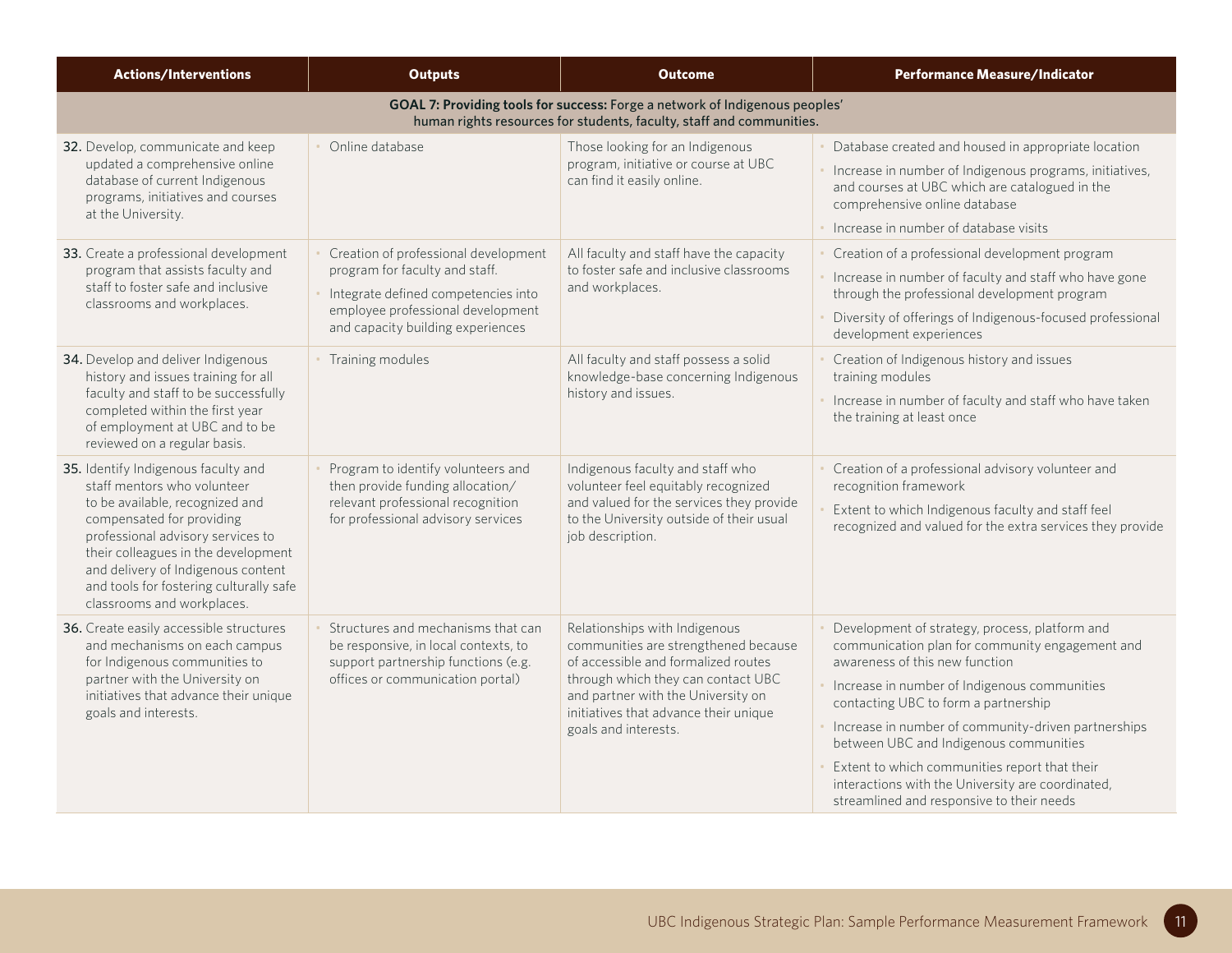| <b>Actions/Interventions</b>                                                                                                                                                                                                                                                                                                  | <b>Outputs</b>                                                                                                                                                                          | <b>Outcome</b>                                                                                                                                                                                                                                            | <b>Performance Measure/Indicator</b>                                                                                                                                                                                                                                                                                                                                                                                                                                            |
|-------------------------------------------------------------------------------------------------------------------------------------------------------------------------------------------------------------------------------------------------------------------------------------------------------------------------------|-----------------------------------------------------------------------------------------------------------------------------------------------------------------------------------------|-----------------------------------------------------------------------------------------------------------------------------------------------------------------------------------------------------------------------------------------------------------|---------------------------------------------------------------------------------------------------------------------------------------------------------------------------------------------------------------------------------------------------------------------------------------------------------------------------------------------------------------------------------------------------------------------------------------------------------------------------------|
|                                                                                                                                                                                                                                                                                                                               |                                                                                                                                                                                         | GOAL 7: Providing tools for success: Forge a network of Indigenous peoples'<br>human rights resources for students, faculty, staff and communities.                                                                                                       |                                                                                                                                                                                                                                                                                                                                                                                                                                                                                 |
| 32. Develop, communicate and keep<br>updated a comprehensive online<br>database of current Indigenous<br>programs, initiatives and courses<br>at the University.                                                                                                                                                              | Online database                                                                                                                                                                         | Those looking for an Indigenous<br>program, initiative or course at UBC<br>can find it easily online.                                                                                                                                                     | Database created and housed in appropriate location<br>Increase in number of Indigenous programs, initiatives,<br>and courses at UBC which are catalogued in the<br>comprehensive online database<br>· Increase in number of database visits                                                                                                                                                                                                                                    |
| 33. Create a professional development<br>program that assists faculty and<br>staff to foster safe and inclusive<br>classrooms and workplaces.                                                                                                                                                                                 | Creation of professional development<br>program for faculty and staff.<br>Integrate defined competencies into<br>employee professional development<br>and capacity building experiences | All faculty and staff have the capacity<br>to foster safe and inclusive classrooms<br>and workplaces.                                                                                                                                                     | Creation of a professional development program<br>Increase in number of faculty and staff who have gone<br>through the professional development program<br>Diversity of offerings of Indigenous-focused professional<br>development experiences                                                                                                                                                                                                                                 |
| 34. Develop and deliver Indigenous<br>history and issues training for all<br>faculty and staff to be successfully<br>completed within the first year<br>of employment at UBC and to be<br>reviewed on a regular basis.                                                                                                        | Training modules                                                                                                                                                                        | All faculty and staff possess a solid<br>knowledge-base concerning Indigenous<br>history and issues.                                                                                                                                                      | Creation of Indigenous history and issues<br>training modules<br>Increase in number of faculty and staff who have taken<br>the training at least once                                                                                                                                                                                                                                                                                                                           |
| 35. Identify Indigenous faculty and<br>staff mentors who volunteer<br>to be available, recognized and<br>compensated for providing<br>professional advisory services to<br>their colleagues in the development<br>and delivery of Indigenous content<br>and tools for fostering culturally safe<br>classrooms and workplaces. | Program to identify volunteers and<br>then provide funding allocation/<br>relevant professional recognition<br>for professional advisory services                                       | Indigenous faculty and staff who<br>volunteer feel equitably recognized<br>and valued for the services they provide<br>to the University outside of their usual<br>job description.                                                                       | Creation of a professional advisory volunteer and<br>recognition framework<br>Extent to which Indigenous faculty and staff feel<br>recognized and valued for the extra services they provide                                                                                                                                                                                                                                                                                    |
| 36. Create easily accessible structures<br>and mechanisms on each campus<br>for Indigenous communities to<br>partner with the University on<br>initiatives that advance their unique<br>goals and interests.                                                                                                                  | Structures and mechanisms that can<br>be responsive, in local contexts, to<br>support partnership functions (e.g.<br>offices or communication portal)                                   | Relationships with Indigenous<br>communities are strengthened because<br>of accessible and formalized routes<br>through which they can contact UBC<br>and partner with the University on<br>initiatives that advance their unique<br>goals and interests. | Development of strategy, process, platform and<br>communication plan for community engagement and<br>awareness of this new function<br>Increase in number of Indigenous communities<br>contacting UBC to form a partnership<br>Increase in number of community-driven partnerships<br>between UBC and Indigenous communities<br>Extent to which communities report that their<br>interactions with the University are coordinated,<br>streamlined and responsive to their needs |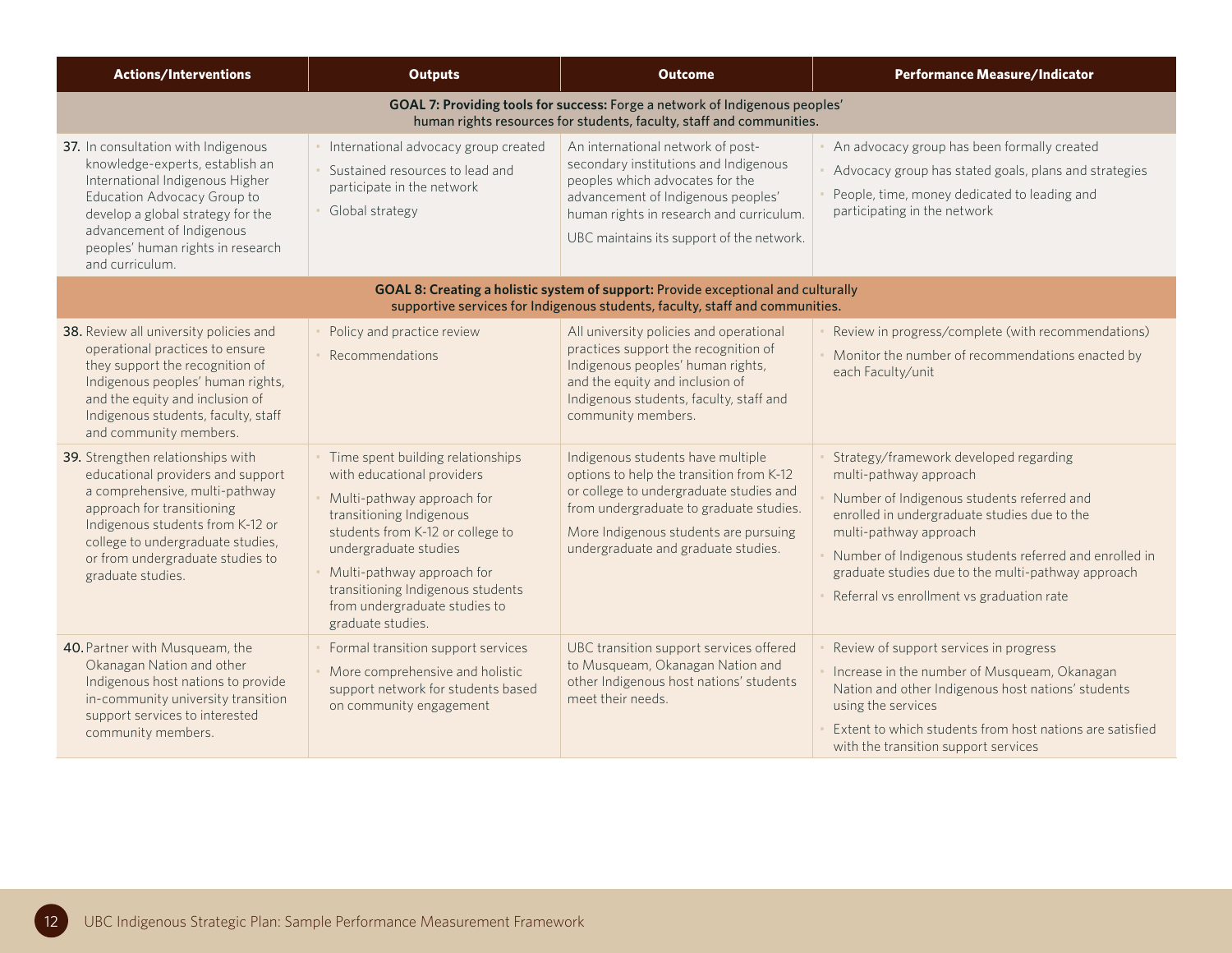| <b>Actions/Interventions</b>                                                                                                                                                                                                                                             | <b>Outputs</b>                                                                                                                                                                                                                                                                                                  | <b>Outcome</b>                                                                                                                                                                                                                                      | <b>Performance Measure/Indicator</b>                                                                                                                                                                                                                                                                                                                  |  |  |
|--------------------------------------------------------------------------------------------------------------------------------------------------------------------------------------------------------------------------------------------------------------------------|-----------------------------------------------------------------------------------------------------------------------------------------------------------------------------------------------------------------------------------------------------------------------------------------------------------------|-----------------------------------------------------------------------------------------------------------------------------------------------------------------------------------------------------------------------------------------------------|-------------------------------------------------------------------------------------------------------------------------------------------------------------------------------------------------------------------------------------------------------------------------------------------------------------------------------------------------------|--|--|
|                                                                                                                                                                                                                                                                          |                                                                                                                                                                                                                                                                                                                 | GOAL 7: Providing tools for success: Forge a network of Indigenous peoples'<br>human rights resources for students, faculty, staff and communities.                                                                                                 |                                                                                                                                                                                                                                                                                                                                                       |  |  |
| 37. In consultation with Indigenous<br>knowledge-experts, establish an<br>International Indigenous Higher<br>Education Advocacy Group to<br>develop a global strategy for the<br>advancement of Indigenous<br>peoples' human rights in research<br>and curriculum.       | International advocacy group created<br>Sustained resources to lead and<br>participate in the network<br>Global strategy                                                                                                                                                                                        | An international network of post-<br>secondary institutions and Indigenous<br>peoples which advocates for the<br>advancement of Indigenous peoples'<br>human rights in research and curriculum.<br>UBC maintains its support of the network.        | An advocacy group has been formally created<br>Advocacy group has stated goals, plans and strategies<br>People, time, money dedicated to leading and<br>participating in the network                                                                                                                                                                  |  |  |
| GOAL 8: Creating a holistic system of support: Provide exceptional and culturally<br>supportive services for Indigenous students, faculty, staff and communities.                                                                                                        |                                                                                                                                                                                                                                                                                                                 |                                                                                                                                                                                                                                                     |                                                                                                                                                                                                                                                                                                                                                       |  |  |
| 38. Review all university policies and<br>operational practices to ensure<br>they support the recognition of<br>Indigenous peoples' human rights,<br>and the equity and inclusion of<br>Indigenous students, faculty, staff<br>and community members.                    | Policy and practice review<br>Recommendations                                                                                                                                                                                                                                                                   | All university policies and operational<br>practices support the recognition of<br>Indigenous peoples' human rights,<br>and the equity and inclusion of<br>Indigenous students, faculty, staff and<br>community members.                            | Review in progress/complete (with recommendations)<br>Monitor the number of recommendations enacted by<br>each Faculty/unit                                                                                                                                                                                                                           |  |  |
| 39. Strengthen relationships with<br>educational providers and support<br>a comprehensive, multi-pathway<br>approach for transitioning<br>Indigenous students from K-12 or<br>college to undergraduate studies,<br>or from undergraduate studies to<br>graduate studies. | Time spent building relationships<br>with educational providers<br>Multi-pathway approach for<br>transitioning Indigenous<br>students from K-12 or college to<br>undergraduate studies<br>Multi-pathway approach for<br>transitioning Indigenous students<br>from undergraduate studies to<br>graduate studies. | Indigenous students have multiple<br>options to help the transition from K-12<br>or college to undergraduate studies and<br>from undergraduate to graduate studies.<br>More Indigenous students are pursuing<br>undergraduate and graduate studies. | Strategy/framework developed regarding<br>multi-pathway approach<br>Number of Indigenous students referred and<br>enrolled in undergraduate studies due to the<br>multi-pathway approach<br>Number of Indigenous students referred and enrolled in<br>graduate studies due to the multi-pathway approach<br>Referral vs enrollment vs graduation rate |  |  |
| 40. Partner with Musqueam, the<br>Okanagan Nation and other<br>Indigenous host nations to provide<br>in-community university transition<br>support services to interested<br>community members.                                                                          | Formal transition support services<br>More comprehensive and holistic<br>support network for students based<br>on community engagement                                                                                                                                                                          | UBC transition support services offered<br>to Musqueam, Okanagan Nation and<br>other Indigenous host nations' students<br>meet their needs.                                                                                                         | Review of support services in progress<br>Increase in the number of Musqueam, Okanagan<br>Nation and other Indigenous host nations' students<br>using the services<br>Extent to which students from host nations are satisfied<br>with the transition support services                                                                                |  |  |